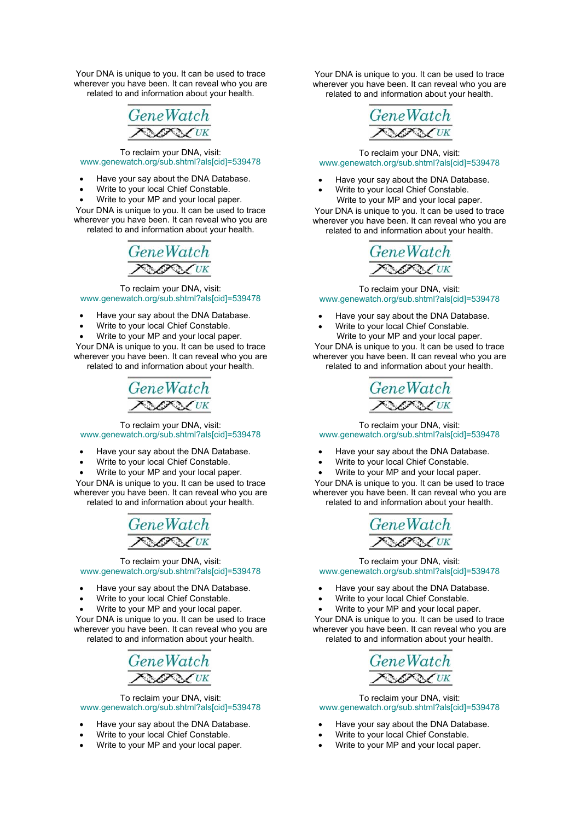Your DNA is unique to you. It can be used to trace wherever you have been. It can reveal who you are related to and information about your health.



#### To reclaim your DNA, visit: www.genewatch.org/sub.shtml?als[cid]=539478

- Have your say about the DNA Database.
- Write to your local Chief Constable.
- Write to your MP and your local paper.

Your DNA is unique to you. It can be used to trace wherever you have been. It can reveal who you are related to and information about your health.

> **GeneWatch CAN** UK

To reclaim your DNA, visit: www.genewatch.org/sub.shtml?als[cid]=539478

- Have your say about the DNA Database.
- Write to your local Chief Constable.
- Write to your MP and your local paper.

Your DNA is unique to you. It can be used to trace wherever you have been. It can reveal who you are related to and information about your health.

> GeneWatch **SANCTIK**

To reclaim your DNA, visit: www.genewatch.org/sub.shtml?als[cid]=539478

- Have your say about the DNA Database.
- Write to your local Chief Constable.
- Write to your MP and your local paper.

Your DNA is unique to you. It can be used to trace wherever you have been. It can reveal who you are related to and information about your health.

> GeneWatch **ONEXALLY**

To reclaim your DNA, visit: www.genewatch.org/sub.shtml?als[cid]=539478

- Have your say about the DNA Database.
- Write to your local Chief Constable.
- Write to your MP and your local paper.

Your DNA is unique to you. It can be used to trace wherever you have been. It can reveal who you are related to and information about your health.



To reclaim your DNA, visit: www.genewatch.org/sub.shtml?als[cid]=539478

- Have your say about the DNA Database.
- Write to your local Chief Constable.
- Write to your MP and your local paper.

Your DNA is unique to you. It can be used to trace wherever you have been. It can reveal who you are related to and information about your health.



To reclaim your DNA, visit: www.genewatch.org/sub.shtml?als[cid]=539478

- Have your say about the DNA Database.
- Write to your local Chief Constable. Write to your MP and your local paper.

Your DNA is unique to you. It can be used to trace wherever you have been. It can reveal who you are related to and information about your health.



To reclaim your DNA, visit: www.genewatch.org/sub.shtml?als[cid]=539478

- Have your say about the DNA Database.
- Write to your local Chief Constable. Write to your MP and your local paper.

Your DNA is unique to you. It can be used to trace wherever you have been. It can reveal who you are related to and information about your health.



To reclaim your DNA, visit: www.genewatch.org/sub.shtml?als[cid]=539478

- Have your say about the DNA Database.
- Write to your local Chief Constable.
- Write to your MP and your local paper.

Your DNA is unique to you. It can be used to trace wherever you have been. It can reveal who you are related to and information about your health.



To reclaim your DNA, visit: www.genewatch.org/sub.shtml?als[cid]=539478

- Have your say about the DNA Database.
- Write to your local Chief Constable.
- Write to your MP and your local paper.

Your DNA is unique to you. It can be used to trace wherever you have been. It can reveal who you are related to and information about your health.



To reclaim your DNA, visit: www.genewatch.org/sub.shtml?als[cid]=539478

- Have your say about the DNA Database.
- Write to your local Chief Constable.
- Write to your MP and your local paper.